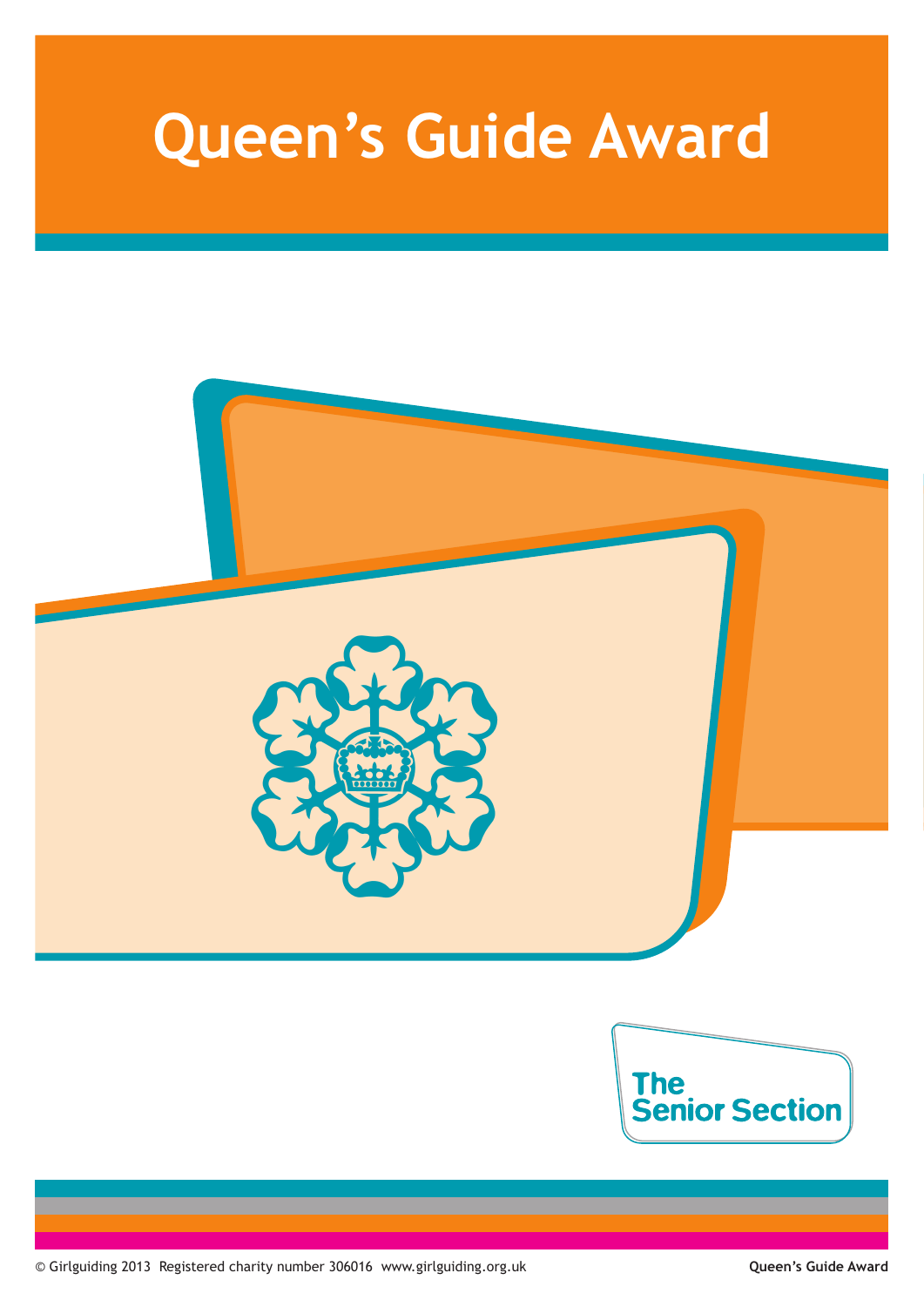# **Queen's Guide Award**



© Girlguiding 2013 Registered charity number 306016 www.girlguiding.org.uk **Queen's Guide Award**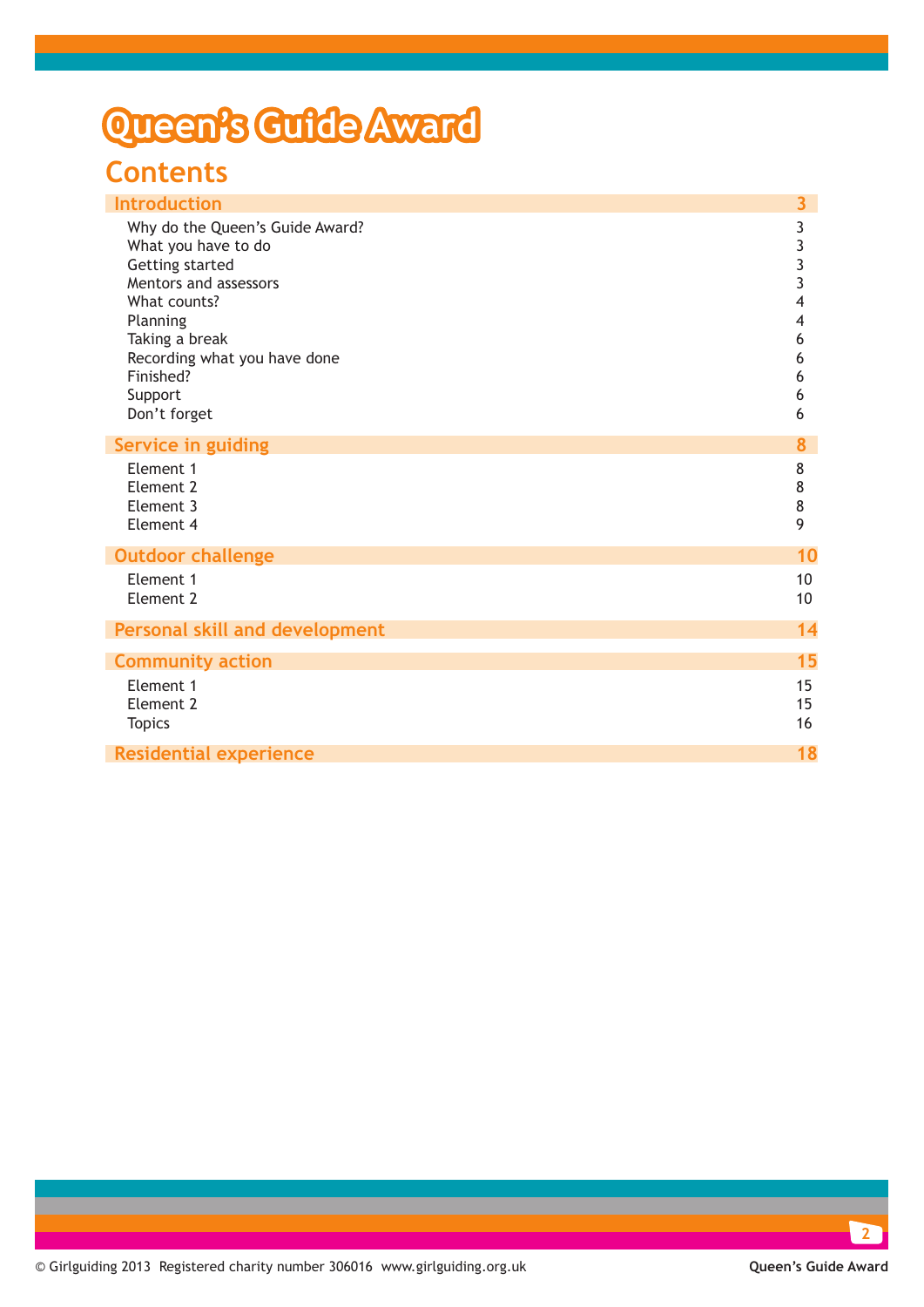## **Queen's Guide Award**

### **Contents**

| <b>Introduction</b>                                                                                                                                                                                                      | 3                                                                |
|--------------------------------------------------------------------------------------------------------------------------------------------------------------------------------------------------------------------------|------------------------------------------------------------------|
| Why do the Queen's Guide Award?<br>What you have to do<br>Getting started<br>Mentors and assessors<br>What counts?<br>Planning<br>Taking a break<br>Recording what you have done<br>Finished?<br>Support<br>Don't forget | 3<br>3<br>$\overline{3}$<br>3<br>4<br>4<br>6<br>6<br>6<br>6<br>6 |
| <b>Service in guiding</b>                                                                                                                                                                                                | 8                                                                |
| Element 1<br>Element 2<br>Element <sub>3</sub><br>Element 4                                                                                                                                                              | 8<br>8<br>8<br>9                                                 |
| <b>Outdoor challenge</b>                                                                                                                                                                                                 | 10                                                               |
| Element 1<br>Element 2                                                                                                                                                                                                   | 10<br>10 <sup>°</sup>                                            |
| <b>Personal skill and development</b>                                                                                                                                                                                    | 14                                                               |
| <b>Community action</b>                                                                                                                                                                                                  | 15                                                               |
| Element 1<br>Element 2<br><b>Topics</b>                                                                                                                                                                                  | 15<br>15<br>16                                                   |
| <b>Residential experience</b>                                                                                                                                                                                            | 18                                                               |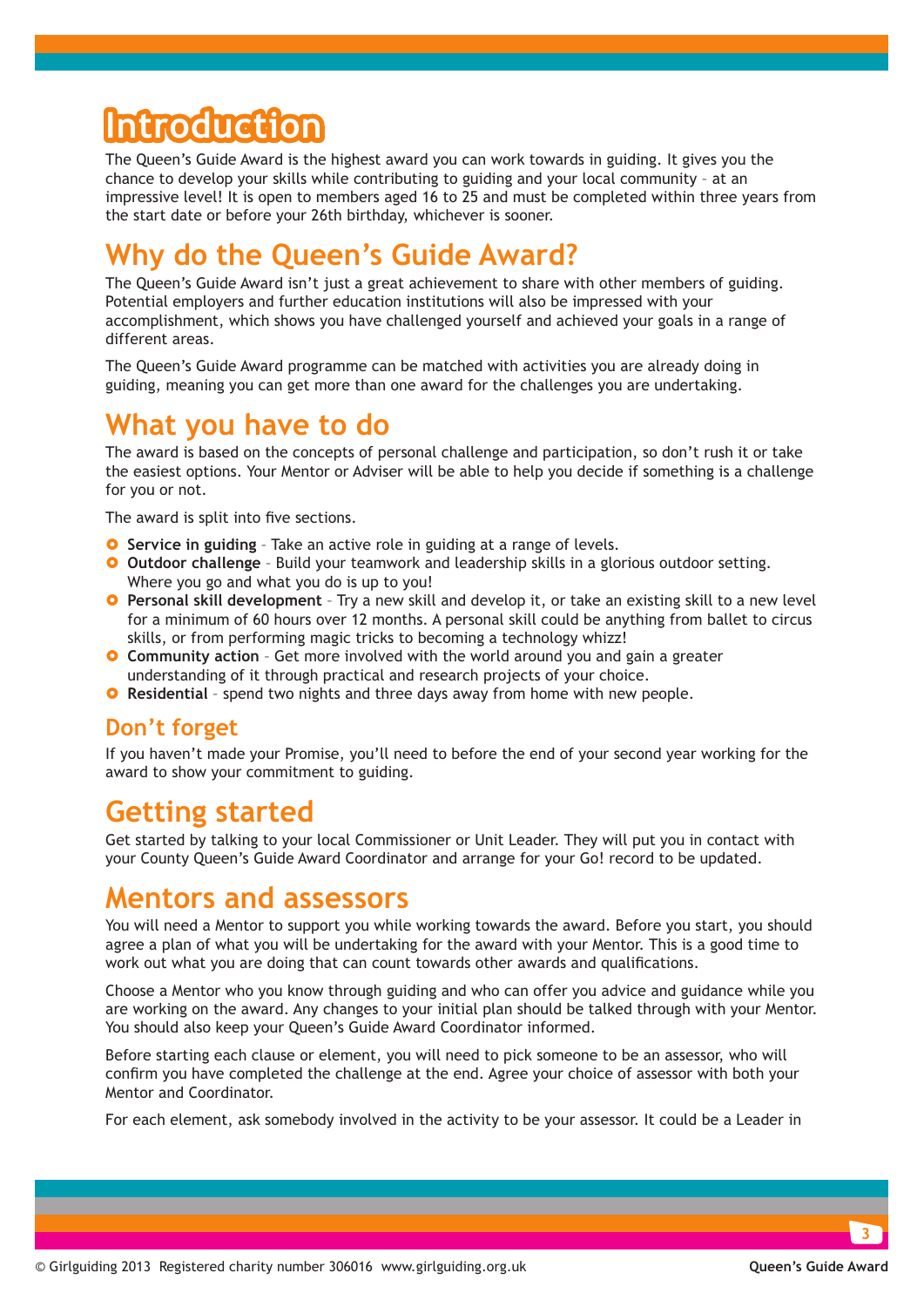## **Introduction**

The Queen's Guide Award is the highest award you can work towards in guiding. It gives you the chance to develop your skills while contributing to guiding and your local community – at an impressive level! It is open to members aged 16 to 25 and must be completed within three years from the start date or before your 26th birthday, whichever is sooner.

### **Why do the Queen's Guide Award?**

The Queen's Guide Award isn't just a great achievement to share with other members of guiding. Potential employers and further education institutions will also be impressed with your accomplishment, which shows you have challenged yourself and achieved your goals in a range of different areas.

The Queen's Guide Award programme can be matched with activities you are already doing in guiding, meaning you can get more than one award for the challenges you are undertaking.

### **What you have to do**

The award is based on the concepts of personal challenge and participation, so don't rush it or take the easiest options. Your Mentor or Adviser will be able to help you decide if something is a challenge for you or not.

The award is split into five sections.

- **O** Service in guiding Take an active role in guiding at a range of levels.
- **O** Outdoor challenge Build your teamwork and leadership skills in a glorious outdoor setting. Where you go and what you do is up to you!
- **O** Personal skill development Try a new skill and develop it, or take an existing skill to a new level for a minimum of 60 hours over 12 months. A personal skill could be anything from ballet to circus skills, or from performing magic tricks to becoming a technology whizz!
- **O** Community action Get more involved with the world around you and gain a greater understanding of it through practical and research projects of your choice.
- **O** Residential spend two nights and three days away from home with new people.

#### **Don't forget**

If you haven't made your Promise, you'll need to before the end of your second year working for the award to show your commitment to guiding.

### **Getting started**

Get started by talking to your local Commissioner or Unit Leader. They will put you in contact with your County Queen's Guide Award Coordinator and arrange for your Go! record to be updated.

### **Mentors and assessors**

You will need a Mentor to support you while working towards the award. Before you start, you should agree a plan of what you will be undertaking for the award with your Mentor. This is a good time to work out what you are doing that can count towards other awards and qualifications.

Choose a Mentor who you know through guiding and who can offer you advice and guidance while you are working on the award. Any changes to your initial plan should be talked through with your Mentor. You should also keep your Queen's Guide Award Coordinator informed.

Before starting each clause or element, you will need to pick someone to be an assessor, who will confirm you have completed the challenge at the end. Agree your choice of assessor with both your Mentor and Coordinator.

For each element, ask somebody involved in the activity to be your assessor. It could be a Leader in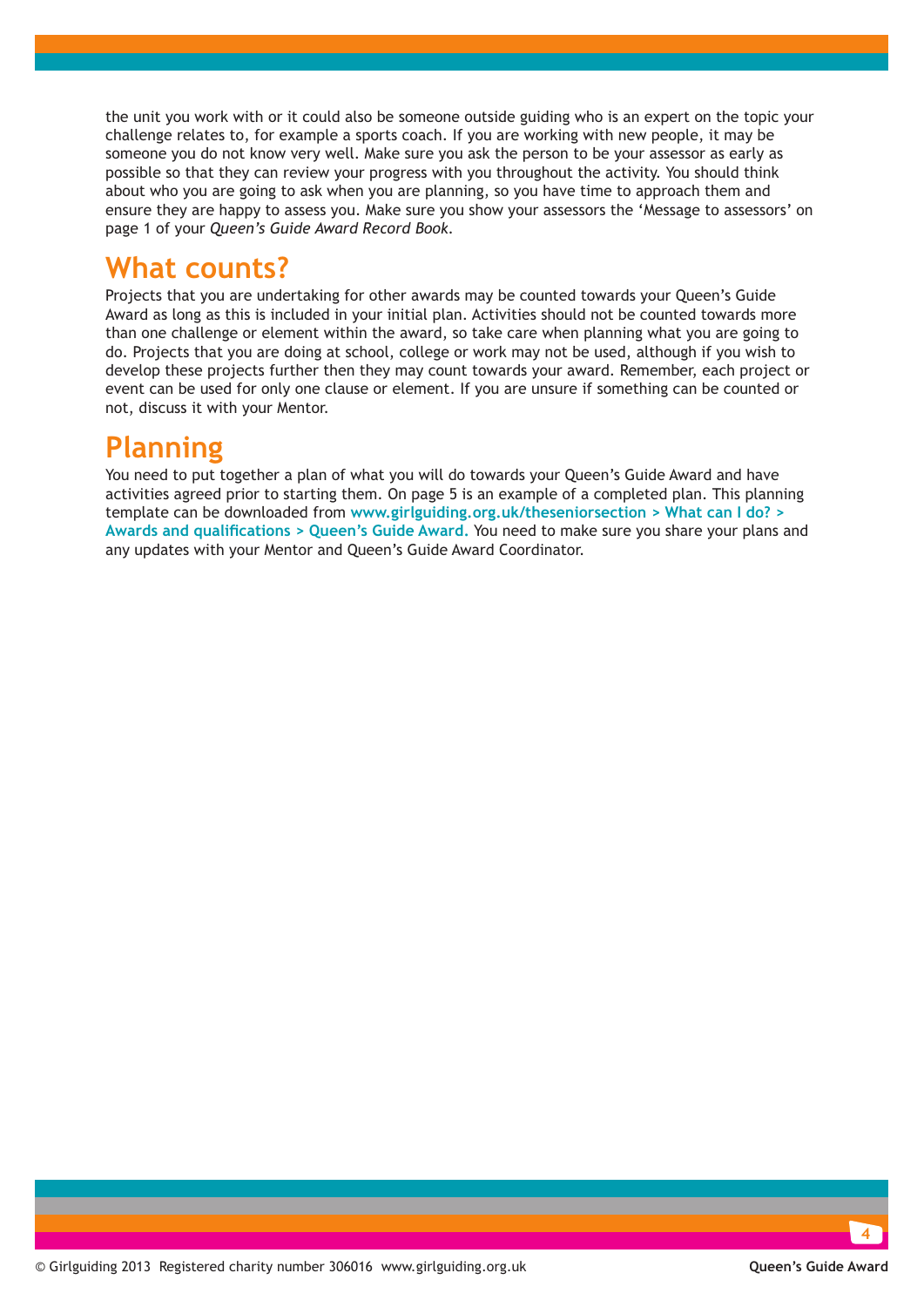the unit you work with or it could also be someone outside guiding who is an expert on the topic your challenge relates to, for example a sports coach. If you are working with new people, it may be someone you do not know very well. Make sure you ask the person to be your assessor as early as possible so that they can review your progress with you throughout the activity. You should think about who you are going to ask when you are planning, so you have time to approach them and ensure they are happy to assess you. Make sure you show your assessors the 'Message to assessors' on page 1 of your *Queen's Guide Award Record Book.*

### **What counts?**

Projects that you are undertaking for other awards may be counted towards your Queen's Guide Award as long as this is included in your initial plan. Activities should not be counted towards more than one challenge or element within the award, so take care when planning what you are going to do. Projects that you are doing at school, college or work may not be used, although if you wish to develop these projects further then they may count towards your award. Remember, each project or event can be used for only one clause or element. If you are unsure if something can be counted or not, discuss it with your Mentor.

### **Planning**

You need to put together a plan of what you will do towards your Queen's Guide Award and have activities agreed prior to starting them. On page 5 is an example of a completed plan. [This planning](http://www.girlguiding.org.uk/seniorsection/whatcanido/awardsandqualifications/queenguideaward.html)  template can be downloaded from **[www.girlguiding.org.uk/theseniorsection > What can I do? >](http://www.girlguiding.org.uk/seniorsection/whatcanido/awardsandqualifications/queenguideaward.html)  [Awards and qualifications > Queen's Guide Award.](http://www.girlguiding.org.uk/seniorsection/whatcanido/awardsandqualifications/queenguideaward.html)** You need to make sure you share your plans and any updates with your Mentor and Queen's Guide Award Coordinator.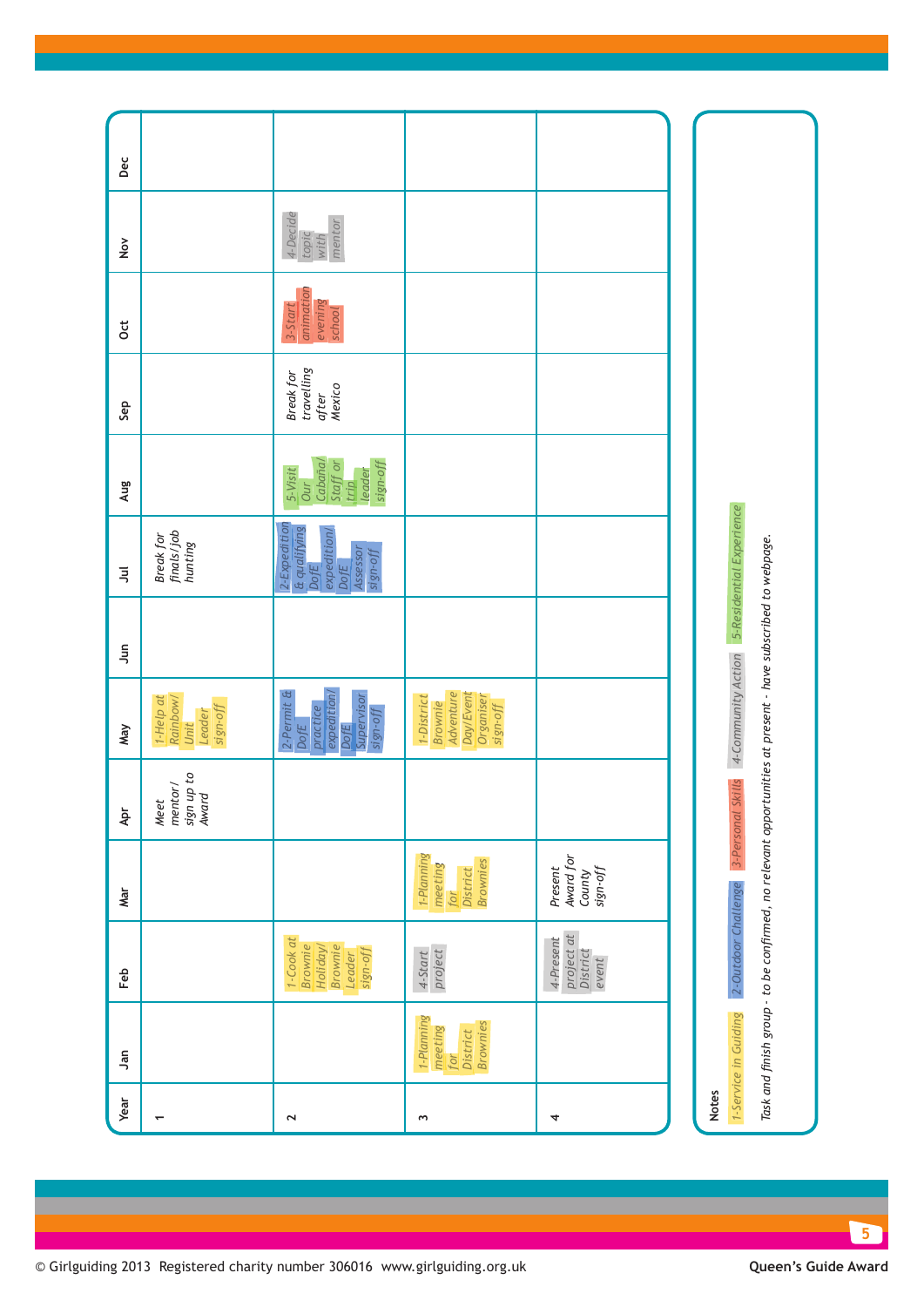| Year                     | ۹ñ                                                          | Feb                                                                                                                                | Mar                                                        | 후                                      | May                                                                                    | $\frac{5}{2}$ | $\overline{5}$                                                                             | Aug                                                                        | Sep                                               | <b>Ct</b>                                 | $\frac{8}{2}$                       | Dec |
|--------------------------|-------------------------------------------------------------|------------------------------------------------------------------------------------------------------------------------------------|------------------------------------------------------------|----------------------------------------|----------------------------------------------------------------------------------------|---------------|--------------------------------------------------------------------------------------------|----------------------------------------------------------------------------|---------------------------------------------------|-------------------------------------------|-------------------------------------|-----|
| $\overline{\phantom{0}}$ |                                                             |                                                                                                                                    |                                                            | sign up to<br>mentor/<br>Award<br>Meet | 1-Help at<br>Rainbow/<br>sign-off<br>Leader<br>Unit                                    |               | finals/job<br>Break for<br>hunting                                                         |                                                                            |                                                   |                                           |                                     |     |
| $\mathbf{\tilde{z}}$     |                                                             | 1-Cook at<br><b>Brownie</b><br><b>Brownie</b><br>Holiday/<br>sign-off<br>Leader                                                    |                                                            |                                        | 2-Permit &<br>expedition/<br>Supervisor<br>practice<br>sign-off<br>DofE<br><b>DofE</b> |               | 2-Expedition<br>& qualifying<br>DofE<br>expedition/<br>Assessor<br>sign-off<br><b>DofE</b> | Cabaña/<br>Staff or<br>sign-off<br>5-Visit<br>leader<br><b>Our</b><br>trip | travelling<br><b>Break</b> for<br>Mexico<br>after | animation<br>evening<br>3-Start<br>school | 4-Decide<br>mentor<br>topic<br>with |     |
| Σ                        | 1-Planning<br><b>Brownies</b><br>meeting<br>District<br>for | project<br>4-Start                                                                                                                 | 1-Plaming<br><b>Brownies</b><br>meeting<br>District<br>for |                                        | Adventure<br>Day/Event<br>1-District<br>Organiser<br><b>Brownie</b><br>sign-off        |               |                                                                                            |                                                                            |                                                   |                                           |                                     |     |
| 4                        |                                                             | project at<br>4-Present<br>District<br>event                                                                                       | Award for<br>Present<br>sign-off<br>County                 |                                        |                                                                                        |               |                                                                                            |                                                                            |                                                   |                                           |                                     |     |
|                          |                                                             |                                                                                                                                    |                                                            |                                        |                                                                                        |               |                                                                                            |                                                                            |                                                   |                                           |                                     |     |
| <b>Notes</b>             | 1-Service in Guiding                                        | Task and finish group - to be confirmed, no relevant opportunities at present - have subscribed to webpage.<br>2-Outdoor Challenge | 3-Personal                                                 | <b>Skills</b>                          | 4-Community Action                                                                     |               | 5-Residential Experience                                                                   |                                                                            |                                                   |                                           |                                     |     |

© Girlguiding 2013 Registered charity number 306016 www.girlguiding.org.uk **Queen's Guide Award**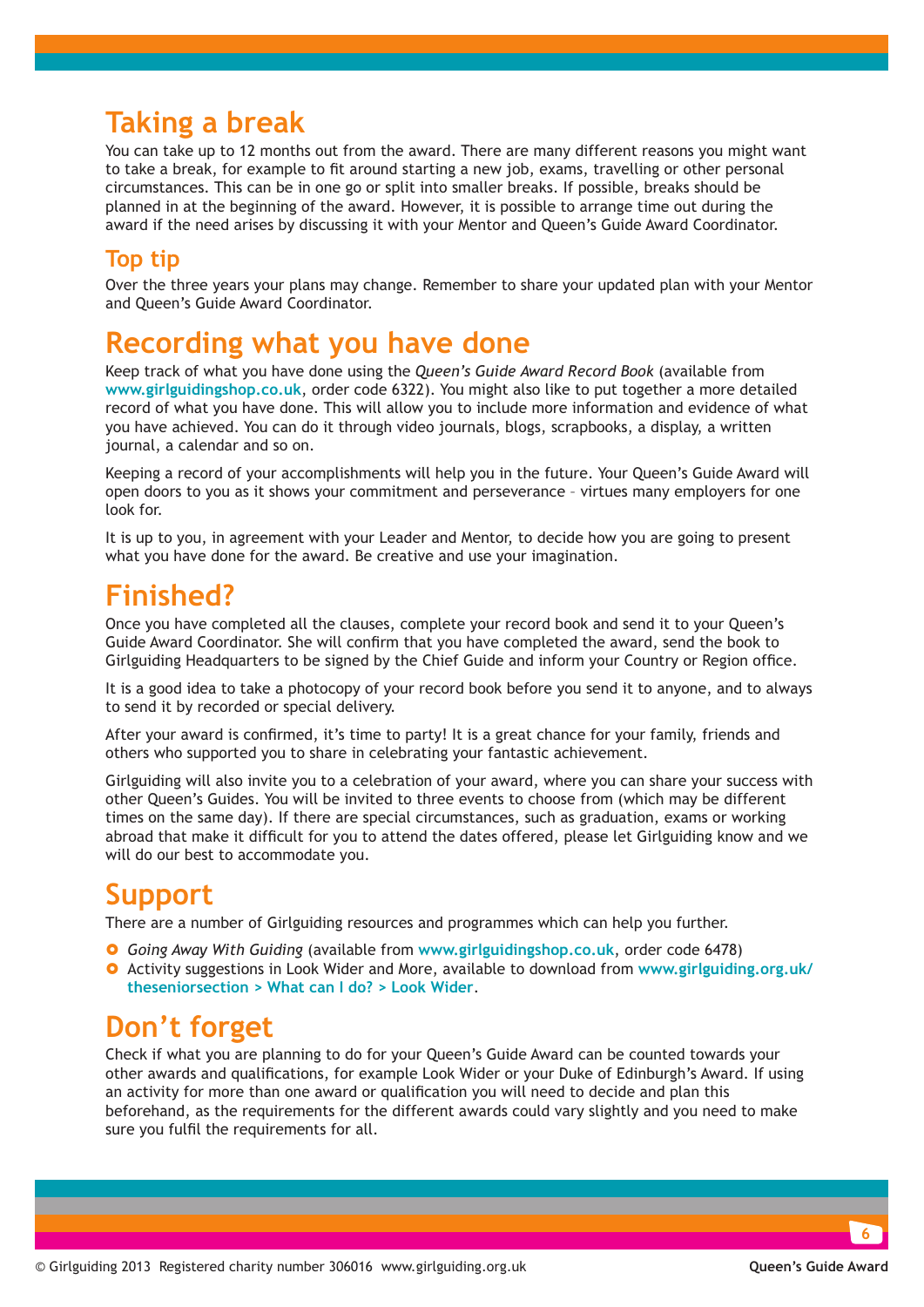### **Taking a break**

You can take up to 12 months out from the award. There are many different reasons you might want to take a break, for example to fit around starting a new job, exams, travelling or other personal circumstances. This can be in one go or split into smaller breaks. If possible, breaks should be planned in at the beginning of the award. However, it is possible to arrange time out during the award if the need arises by discussing it with your Mentor and Queen's Guide Award Coordinator.

#### **Top tip**

Over the three years your plans may change. Remember to share your updated plan with your Mentor and Queen's Guide Award Coordinator.

### **Recording what you have done**

Keep track of what you have done using the *Queen's Guide Award Record Book* (available from **www.girlguidingshop.co.uk**, order code 6322). You might also like to put together a more detailed record of what you have done. This will allow you to include more information and evidence of what you have achieved. You can do it through video journals, blogs, scrapbooks, a display, a written journal, a calendar and so on.

Keeping a record of your accomplishments will help you in the future. Your Queen's Guide Award will open doors to you as it shows your commitment and perseverance – virtues many employers for one look for.

It is up to you, in agreement with your Leader and Mentor, to decide how you are going to present what you have done for the award. Be creative and use your imagination.

### **Finished?**

Once you have completed all the clauses, complete your record book and send it to your Queen's Guide Award Coordinator. She will confirm that you have completed the award, send the book to Girlguiding Headquarters to be signed by the Chief Guide and inform your Country or Region office.

It is a good idea to take a photocopy of your record book before you send it to anyone, and to always to send it by recorded or special delivery.

After your award is confirmed, it's time to party! It is a great chance for your family, friends and others who supported you to share in celebrating your fantastic achievement.

Girlguiding will also invite you to a celebration of your award, where you can share your success with other Queen's Guides. You will be invited to three events to choose from (which may be different times on the same day). If there are special circumstances, such as graduation, exams or working abroad that make it difficult for you to attend the dates offered, please let Girlguiding know and we will do our best to accommodate you.

### **Support**

There are a number of Girlguiding resources and programmes which can help you further.

- } *Going Away With Guiding* (available from **www.girlguidingshop.co.uk**, order code 6478)
- } Activity suggestions in [Look Wider and More, available to download from](http://www.girlguiding.org.uk/seniorsection/whatcanido/lookwider/lookwider.html) **www.girlguiding.org.uk/ [theseniorsection > What can I do? > Look Wider](http://www.girlguiding.org.uk/seniorsection/whatcanido/lookwider/lookwider.html)**.

### **Don't forget**

Check if what you are planning to do for your Queen's Guide Award can be counted towards your other awards and qualifications, for example Look Wider or your Duke of Edinburgh's Award. If using an activity for more than one award or qualification you will need to decide and plan this beforehand, as the requirements for the different awards could vary slightly and you need to make sure you fulfil the requirements for all.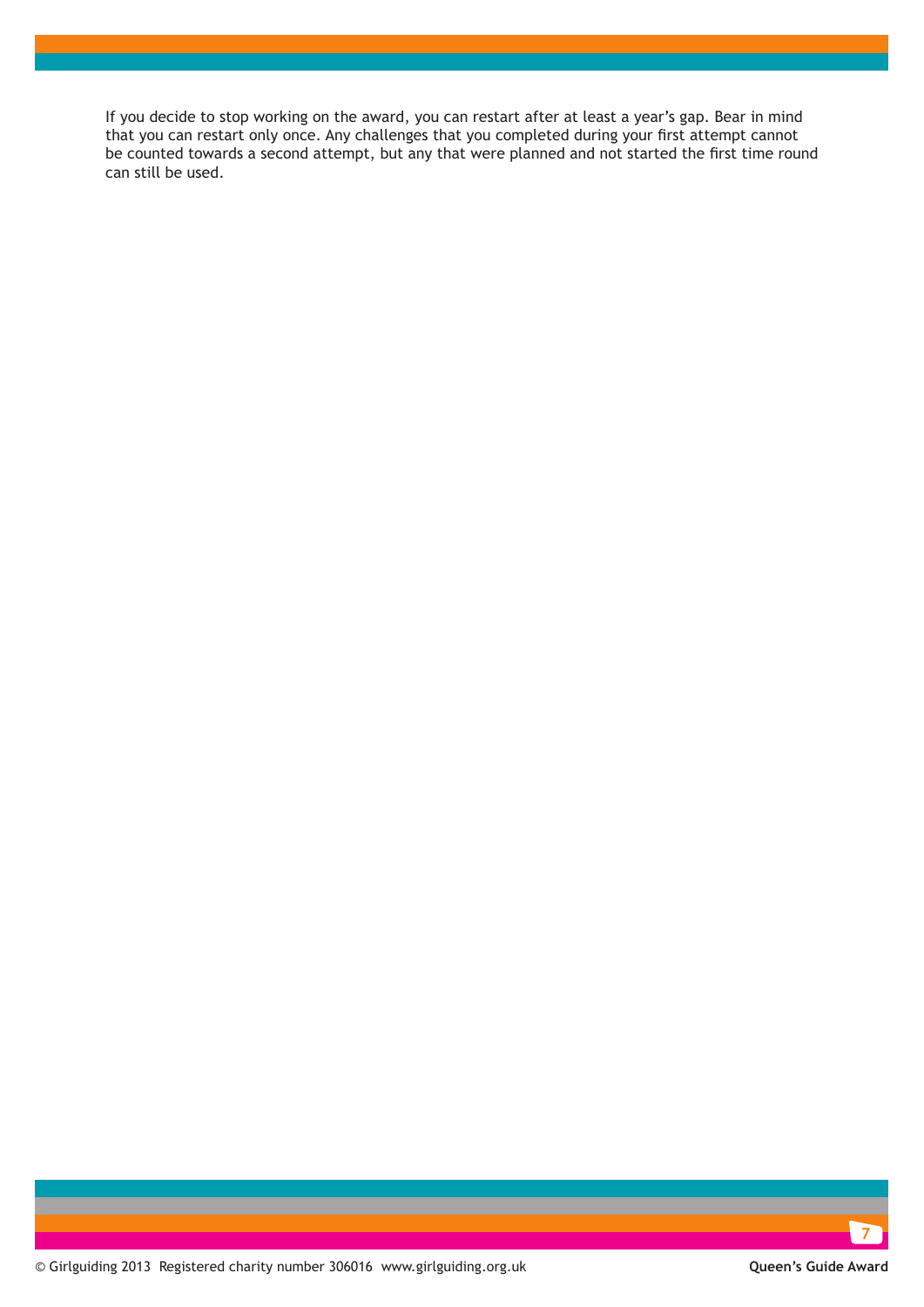If you decide to stop working on the award, you can restart after at least a year's gap. Bear in mind that you can restart only once. Any challenges that you completed during your first attempt cannot be counted towards a second attempt, but any that were planned and not started the first time round can still be used.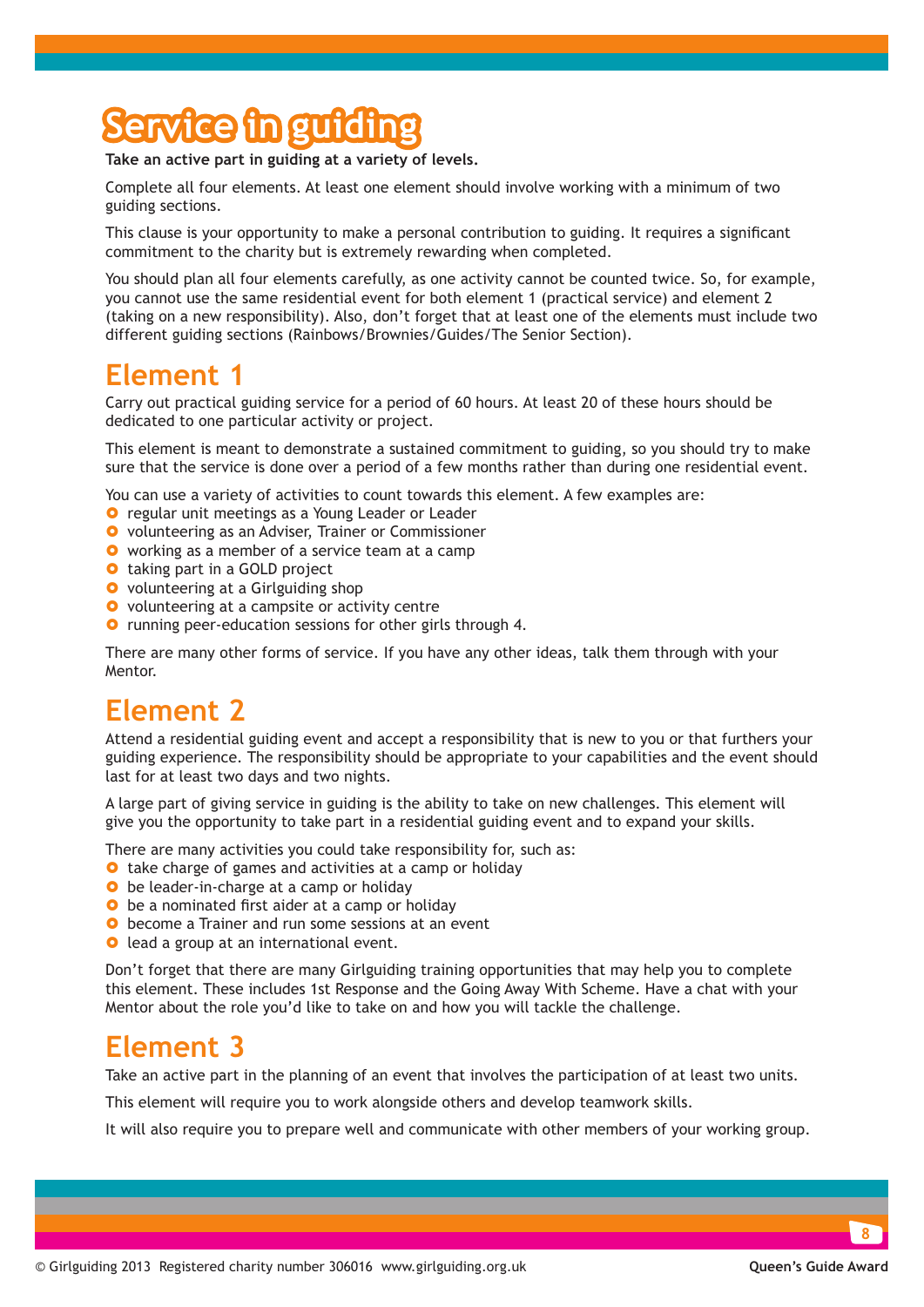## **Service in guiding**

**Take an active part in guiding at a variety of levels.**

Complete all four elements. At least one element should involve working with a minimum of two guiding sections.

This clause is your opportunity to make a personal contribution to guiding. It requires a significant commitment to the charity but is extremely rewarding when completed.

You should plan all four elements carefully, as one activity cannot be counted twice. So, for example, you cannot use the same residential event for both element 1 (practical service) and element 2 (taking on a new responsibility). Also, don't forget that at least one of the elements must include two different guiding sections (Rainbows/Brownies/Guides/The Senior Section).

### **Element 1**

Carry out practical guiding service for a period of 60 hours. At least 20 of these hours should be dedicated to one particular activity or project.

This element is meant to demonstrate a sustained commitment to guiding, so you should try to make sure that the service is done over a period of a few months rather than during one residential event.

You can use a variety of activities to count towards this element. A few examples are:

- **O** regular unit meetings as a Young Leader or Leader
- **O** volunteering as an Adviser, Trainer or Commissioner
- **O** working as a member of a service team at a camp
- **O** taking part in a GOLD project
- **O** volunteering at a Girlguiding shop
- **O** volunteering at a campsite or activity centre
- **O** running peer-education sessions for other girls through 4.

There are many other forms of service. If you have any other ideas, talk them through with your Mentor.

### **Element 2**

Attend a residential guiding event and accept a responsibility that is new to you or that furthers your guiding experience. The responsibility should be appropriate to your capabilities and the event should last for at least two days and two nights.

A large part of giving service in guiding is the ability to take on new challenges. This element will give you the opportunity to take part in a residential guiding event and to expand your skills.

There are many activities you could take responsibility for, such as:

- **O** take charge of games and activities at a camp or holiday
- **•** be leader-in-charge at a camp or holiday
- **•** be a nominated first aider at a camp or holiday
- **O** become a Trainer and run some sessions at an event
- **O** lead a group at an international event.

Don't forget that there are many Girlguiding training opportunities that may help you to complete this element. These includes 1st Response and the Going Away With Scheme. Have a chat with your Mentor about the role you'd like to take on and how you will tackle the challenge.

### **Element 3**

Take an active part in the planning of an event that involves the participation of at least two units.

This element will require you to work alongside others and develop teamwork skills.

It will also require you to prepare well and communicate with other members of your working group.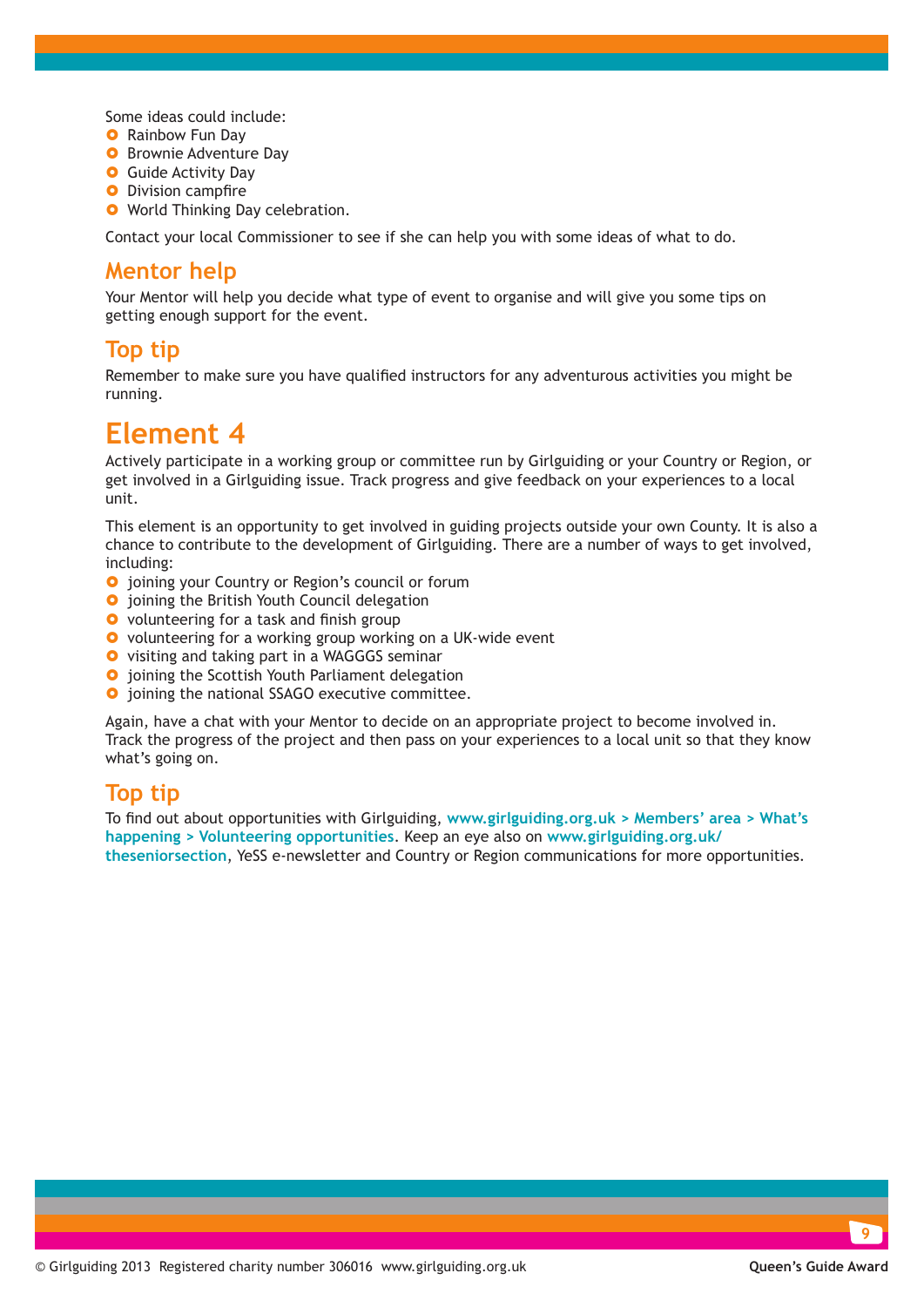Some ideas could include:

- **O** Rainbow Fun Day
- **O** Brownie Adventure Day
- **O** Guide Activity Day
- **O** Division campfire
- **O** World Thinking Day celebration.

Contact your local Commissioner to see if she can help you with some ideas of what to do.

#### **Mentor help**

Your Mentor will help you decide what type of event to organise and will give you some tips on getting enough support for the event.

#### **Top tip**

Remember to make sure you have qualified instructors for any adventurous activities you might be running.

### **Element 4**

Actively participate in a working group or committee run by Girlguiding or your Country or Region, or get involved in a Girlguiding issue. Track progress and give feedback on your experiences to a local unit.

This element is an opportunity to get involved in guiding projects outside your own County. It is also a chance to contribute to the development of Girlguiding. There are a number of ways to get involved, including:

- **O** joining your Country or Region's council or forum
- **O** joining the British Youth Council delegation
- **O** volunteering for a task and finish group
- **O** volunteering for a working group working on a UK-wide event
- **O** visiting and taking part in a WAGGGS seminar
- **O** joining the Scottish Youth Parliament delegation
- $\bullet$  joining the national SSAGO executive committee.

Again, have a chat with your Mentor to decide on an appropriate project to become involved in. Track the progress of the project and then pass on your experiences to a local unit so that they know what's going on.

#### **Top tip**

To find out about opportunities with Girlguiding, **[www.girlguiding.org.uk > Members' area > What's](http://www.girlguiding.org.uk/members_area__go/whats_happening/volunteering_opportunities.aspx)  [happening > Volunteering opportunities](http://www.girlguiding.org.uk/members_area__go/whats_happening/volunteering_opportunities.aspx)**. Keep an eye also on **[www.girlguiding.org.uk/](http://www.girlguiding.org.uk/theseniorsection) [theseniorsection](http://www.girlguiding.org.uk/theseniorsection)**, YeSS e-newsletter and Country or Region communications for more opportunities.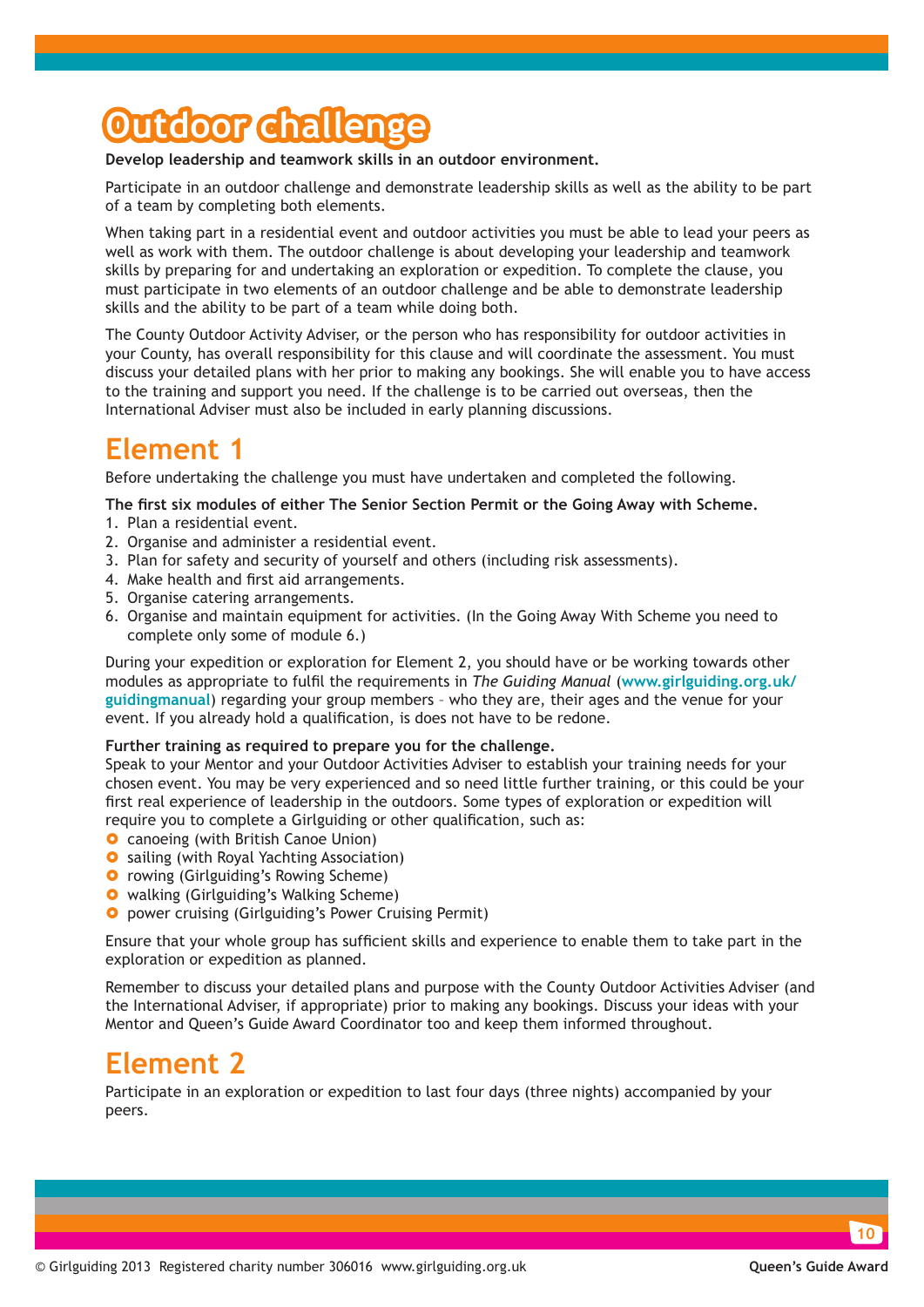## **Outdoor challenge**

**Develop leadership and teamwork skills in an outdoor environment.**

Participate in an outdoor challenge and demonstrate leadership skills as well as the ability to be part of a team by completing both elements.

When taking part in a residential event and outdoor activities you must be able to lead your peers as well as work with them. The outdoor challenge is about developing your leadership and teamwork skills by preparing for and undertaking an exploration or expedition. To complete the clause, you must participate in two elements of an outdoor challenge and be able to demonstrate leadership skills and the ability to be part of a team while doing both.

The County Outdoor Activity Adviser, or the person who has responsibility for outdoor activities in your County, has overall responsibility for this clause and will coordinate the assessment. You must discuss your detailed plans with her prior to making any bookings. She will enable you to have access to the training and support you need. If the challenge is to be carried out overseas, then the International Adviser must also be included in early planning discussions.

### **Element 1**

Before undertaking the challenge you must have undertaken and completed the following.

#### **The first six modules of either The Senior Section Permit or the Going Away with Scheme.**

- 1. Plan a residential event.
- 2. Organise and administer a residential event.
- 3. Plan for safety and security of yourself and others (including risk assessments).
- 4. Make health and first aid arrangements.
- 5. Organise catering arrangements.
- 6. Organise and maintain equipment for activities. (In the Going Away With Scheme you need to complete only some of module 6.)

During your expedition or exploration for Element 2, you should have or be working towards other modules as appropriate to fulfil the requirements in *The Guiding Manual* (**[www.girlguiding.org.uk/](http://www.girlguiding.org.uk/guidingmanual) [guidingmanual](http://www.girlguiding.org.uk/guidingmanual)**) regarding your group members – who they are, their ages and the venue for your event. If you already hold a qualification, is does not have to be redone.

#### **Further training as required to prepare you for the challenge.**

Speak to your Mentor and your Outdoor Activities Adviser to establish your training needs for your chosen event. You may be very experienced and so need little further training, or this could be your first real experience of leadership in the outdoors. Some types of exploration or expedition will require you to complete a Girlguiding or other qualification, such as:

- **O** canoeing (with British Canoe Union)
- **O** sailing (with Royal Yachting Association)
- **O** rowing (Girlguiding's Rowing Scheme)
- **•** walking (Girlguiding's Walking Scheme)
- **O** power cruising (Girlguiding's Power Cruising Permit)

Ensure that your whole group has sufficient skills and experience to enable them to take part in the exploration or expedition as planned.

Remember to discuss your detailed plans and purpose with the County Outdoor Activities Adviser (and the International Adviser, if appropriate) prior to making any bookings. Discuss your ideas with your Mentor and Queen's Guide Award Coordinator too and keep them informed throughout.

### **Element 2**

Participate in an exploration or expedition to last four days (three nights) accompanied by your peers.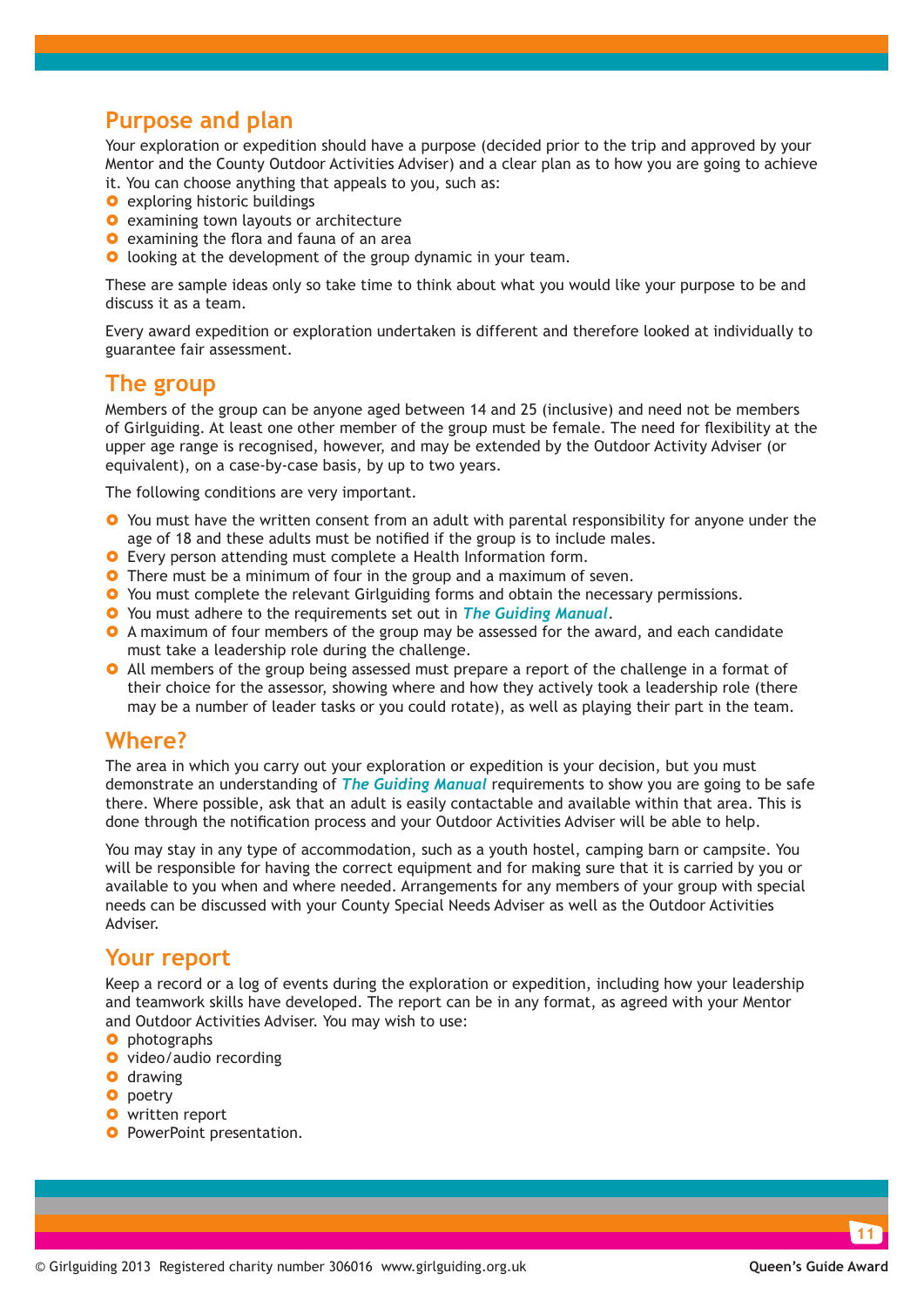#### **Purpose and plan**

Your exploration or expedition should have a purpose (decided prior to the trip and approved by your Mentor and the County Outdoor Activities Adviser) and a clear plan as to how you are going to achieve it. You can choose anything that appeals to you, such as:

- **O** exploring historic buildings
- **O** examining town layouts or architecture
- **O** examining the flora and fauna of an area
- **O** looking at the development of the group dynamic in your team.

These are sample ideas only so take time to think about what you would like your purpose to be and discuss it as a team.

Every award expedition or exploration undertaken is different and therefore looked at individually to guarantee fair assessment.

#### **The group**

Members of the group can be anyone aged between 14 and 25 (inclusive) and need not be members of Girlguiding. At least one other member of the group must be female. The need for flexibility at the upper age range is recognised, however, and may be extended by the Outdoor Activity Adviser (or equivalent), on a case-by-case basis, by up to two years.

The following conditions are very important.

- **O** You must have the written consent from an adult with parental responsibility for anyone under the age of 18 and these adults must be notified if the group is to include males.
- **O** Every person attending must complete a Health Information form.
- **O** There must be a minimum of four in the group and a maximum of seven.
- **•** You must complete the relevant Girlguiding forms and obtain the necessary permissions.
- } You must adhere to the requirements set out in *[The Guiding Manual](http://www.girlguiding.org.uk/guidingmanual)*.
- **•** A maximum of four members of the group may be assessed for the award, and each candidate must take a leadership role during the challenge.
- **O** All members of the group being assessed must prepare a report of the challenge in a format of their choice for the assessor, showing where and how they actively took a leadership role (there may be a number of leader tasks or you could rotate), as well as playing their part in the team.

#### **Where?**

The area in which you carry out your exploration or expedition is your decision, but you must demonstrate an understanding of *[The Guiding Manual](http://www.girlguiding.org.uk/guidingmanual)* requirements to show you are going to be safe there. Where possible, ask that an adult is easily contactable and available within that area. This is done through the notification process and your Outdoor Activities Adviser will be able to help.

You may stay in any type of accommodation, such as a youth hostel, camping barn or campsite. You will be responsible for having the correct equipment and for making sure that it is carried by you or available to you when and where needed. Arrangements for any members of your group with special needs can be discussed with your County Special Needs Adviser as well as the Outdoor Activities Adviser.

#### **Your report**

Keep a record or a log of events during the exploration or expedition, including how your leadership and teamwork skills have developed. The report can be in any format, as agreed with your Mentor and Outdoor Activities Adviser. You may wish to use:

- **O** photographs
- **O** video/audio recording
- **O** drawing
- **O** poetry
- **O** written report
- **O** PowerPoint presentation.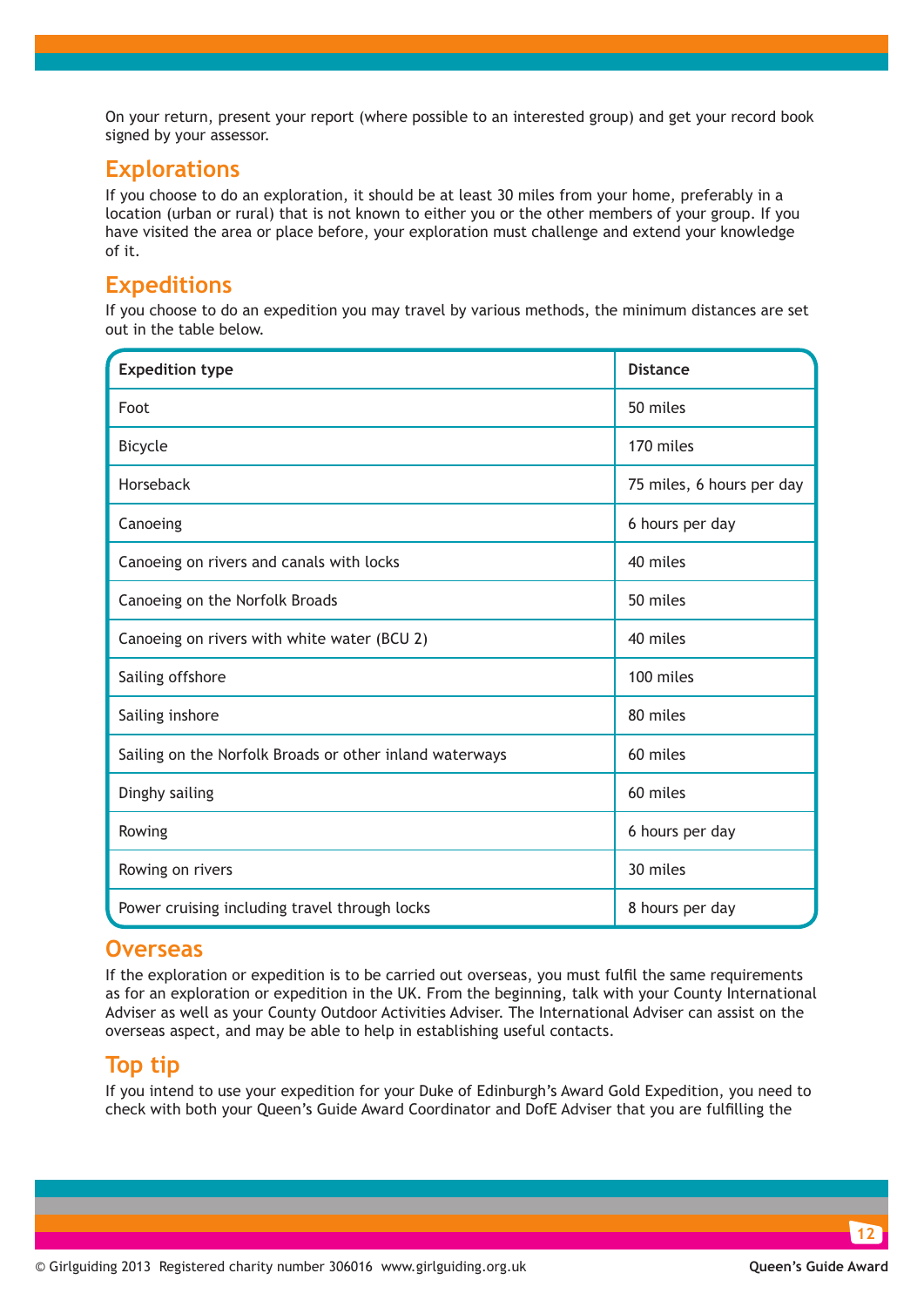On your return, present your report (where possible to an interested group) and get your record book signed by your assessor.

### **Explorations**

If you choose to do an exploration, it should be at least 30 miles from your home, preferably in a location (urban or rural) that is not known to either you or the other members of your group. If you have visited the area or place before, your exploration must challenge and extend your knowledge of it.

### **Expeditions**

If you choose to do an expedition you may travel by various methods, the minimum distances are set out in the table below.

| <b>Expedition type</b>                                  | <b>Distance</b>           |
|---------------------------------------------------------|---------------------------|
| Foot                                                    | 50 miles                  |
| <b>Bicycle</b>                                          | 170 miles                 |
| Horseback                                               | 75 miles, 6 hours per day |
| Canoeing                                                | 6 hours per day           |
| Canoeing on rivers and canals with locks                | 40 miles                  |
| Canoeing on the Norfolk Broads                          | 50 miles                  |
| Canoeing on rivers with white water (BCU 2)             | 40 miles                  |
| Sailing offshore                                        | 100 miles                 |
| Sailing inshore                                         | 80 miles                  |
| Sailing on the Norfolk Broads or other inland waterways | 60 miles                  |
| Dinghy sailing                                          | 60 miles                  |
| Rowing                                                  | 6 hours per day           |
| Rowing on rivers                                        | 30 miles                  |
| Power cruising including travel through locks           | 8 hours per day           |

#### **Overseas**

If the exploration or expedition is to be carried out overseas, you must fulfil the same requirements as for an exploration or expedition in the UK. From the beginning, talk with your County International Adviser as well as your County Outdoor Activities Adviser. The International Adviser can assist on the overseas aspect, and may be able to help in establishing useful contacts.

#### **Top tip**

If you intend to use your expedition for your Duke of Edinburgh's Award Gold Expedition, you need to check with both your Queen's Guide Award Coordinator and DofE Adviser that you are fulfilling the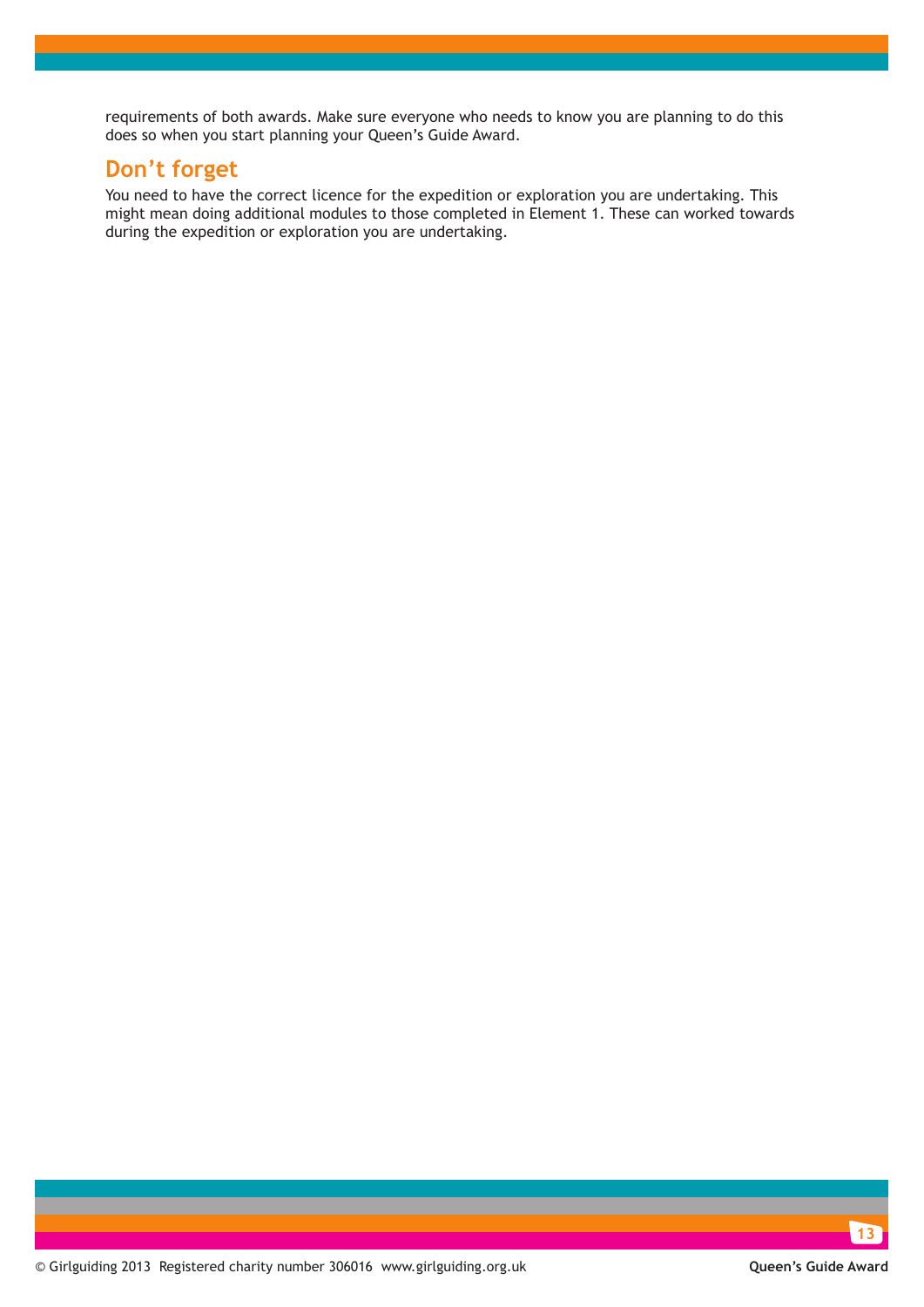requirements of both awards. Make sure everyone who needs to know you are planning to do this does so when you start planning your Queen's Guide Award.

### **Don't forget**

You need to have the correct licence for the expedition or exploration you are undertaking. This might mean doing additional modules to those completed in Element 1. These can worked towards during the expedition or exploration you are undertaking.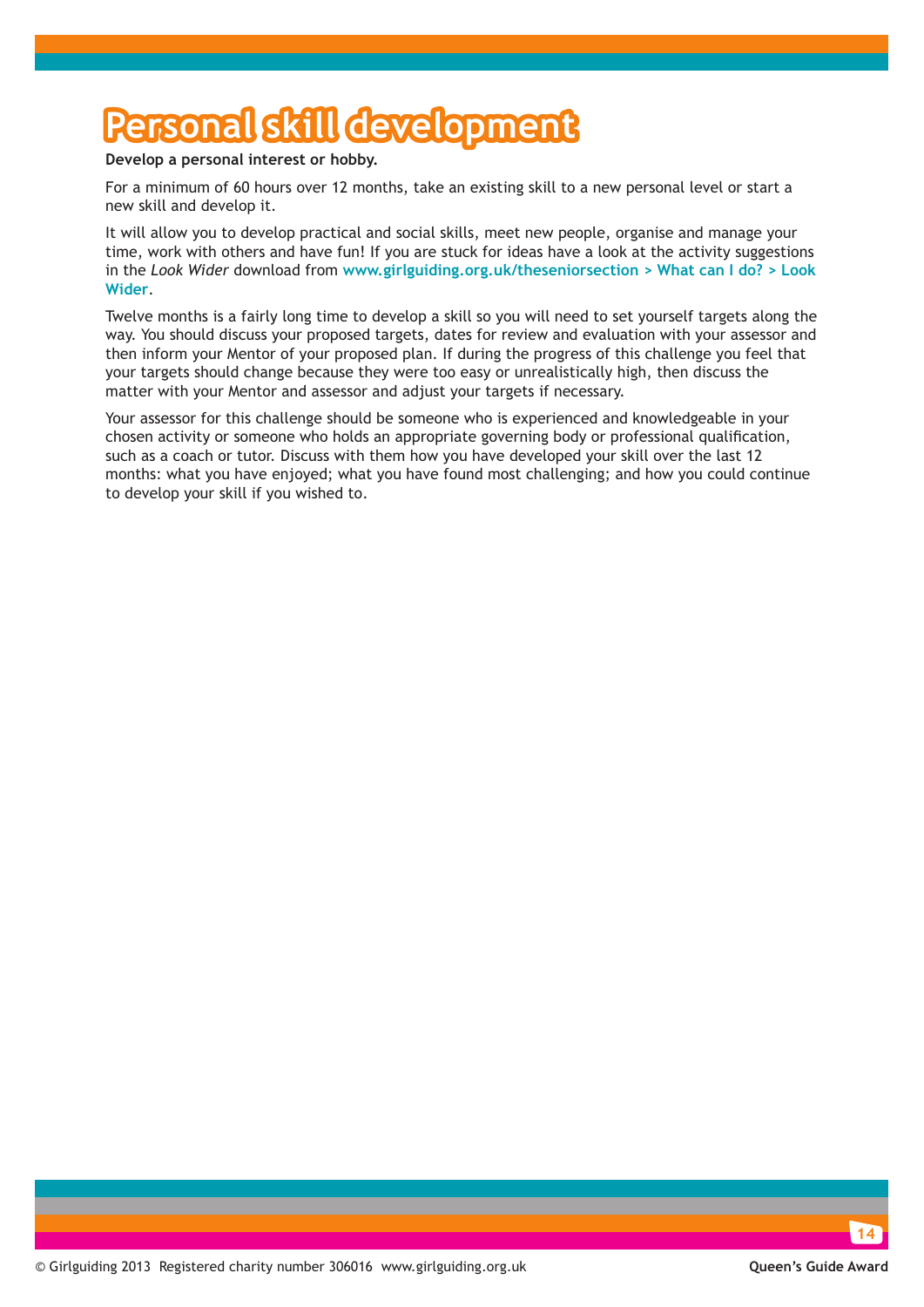## **Personal skill development**

#### **Develop a personal interest or hobby.**

For a minimum of 60 hours over 12 months, take an existing skill to a new personal level or start a new skill and develop it.

It will allow you to develop practical and social skills, meet new people, organise and manage your time, work with others and have fun! If you are stuck for ideas have a look at the activity suggestions in the *Look Wider* download from **[www.girlguiding.org.uk/theseniorsection > What can I do? > Look](http://www.girlguiding.org.uk/seniorsection/whatcanido/lookwider/lookwider.html)  [Wider](http://www.girlguiding.org.uk/seniorsection/whatcanido/lookwider/lookwider.html)**.

Twelve months is a fairly long time to develop a skill so you will need to set yourself targets along the way. You should discuss your proposed targets, dates for review and evaluation with your assessor and then inform your Mentor of your proposed plan. If during the progress of this challenge you feel that your targets should change because they were too easy or unrealistically high, then discuss the matter with your Mentor and assessor and adjust your targets if necessary.

Your assessor for this challenge should be someone who is experienced and knowledgeable in your chosen activity or someone who holds an appropriate governing body or professional qualification, such as a coach or tutor. Discuss with them how you have developed your skill over the last 12 months: what you have enjoyed; what you have found most challenging; and how you could continue to develop your skill if you wished to.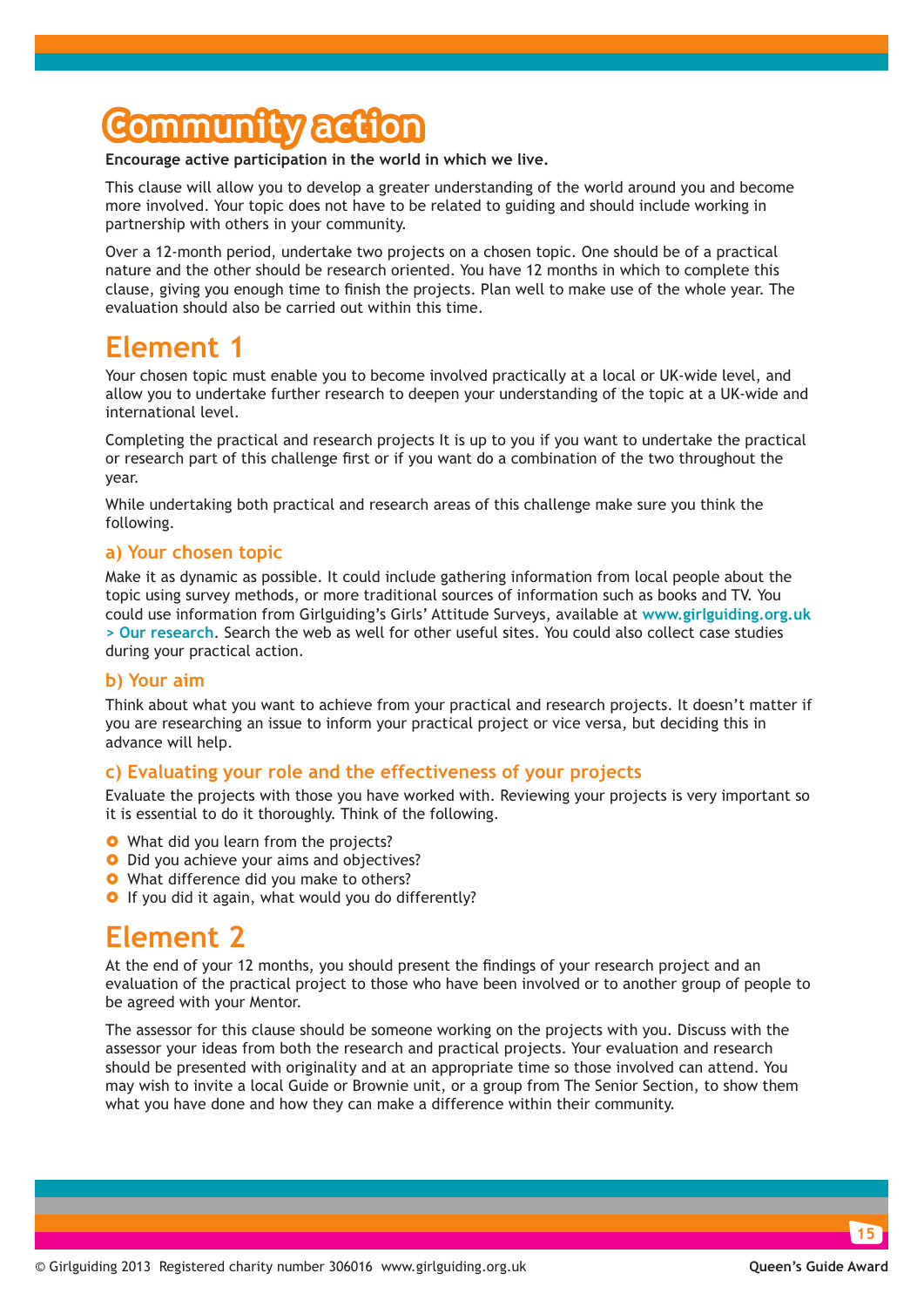## **Community action**

#### **Encourage active participation in the world in which we live.**

This clause will allow you to develop a greater understanding of the world around you and become more involved. Your topic does not have to be related to guiding and should include working in partnership with others in your community.

Over a 12-month period, undertake two projects on a chosen topic. One should be of a practical nature and the other should be research oriented. You have 12 months in which to complete this clause, giving you enough time to finish the projects. Plan well to make use of the whole year. The evaluation should also be carried out within this time.

### **Element 1**

Your chosen topic must enable you to become involved practically at a local or UK-wide level, and allow you to undertake further research to deepen your understanding of the topic at a UK-wide and international level.

Completing the practical and research projects It is up to you if you want to undertake the practical or research part of this challenge first or if you want do a combination of the two throughout the year.

While undertaking both practical and research areas of this challenge make sure you think the following.

#### **a) Your chosen topic**

Make it as dynamic as possible. It could include gathering information from local people about the topic using survey methods, or more traditional sources of information such as books and TV. You could use information from Girlguiding's Girls' Attitude Surveys, available at **[www.girlguiding.org.uk](http://www.girlguiding.org.uk/our_research.aspx)  [> Our research](http://www.girlguiding.org.uk/our_research.aspx)**. Search the web as well for other useful sites. You could also collect case studies during your practical action.

#### **b) Your aim**

Think about what you want to achieve from your practical and research projects. It doesn't matter if you are researching an issue to inform your practical project or vice versa, but deciding this in advance will help.

#### **c) Evaluating your role and the effectiveness of your projects**

Evaluate the projects with those you have worked with. Reviewing your projects is very important so it is essential to do it thoroughly. Think of the following.

- **•** What did you learn from the projects?
- **•** Did you achieve your aims and objectives?
- **•** What difference did you make to others?
- **O** If you did it again, what would you do differently?

### **Element 2**

At the end of your 12 months, you should present the findings of your research project and an evaluation of the practical project to those who have been involved or to another group of people to be agreed with your Mentor.

The assessor for this clause should be someone working on the projects with you. Discuss with the assessor your ideas from both the research and practical projects. Your evaluation and research should be presented with originality and at an appropriate time so those involved can attend. You may wish to invite a local Guide or Brownie unit, or a group from The Senior Section, to show them what you have done and how they can make a difference within their community.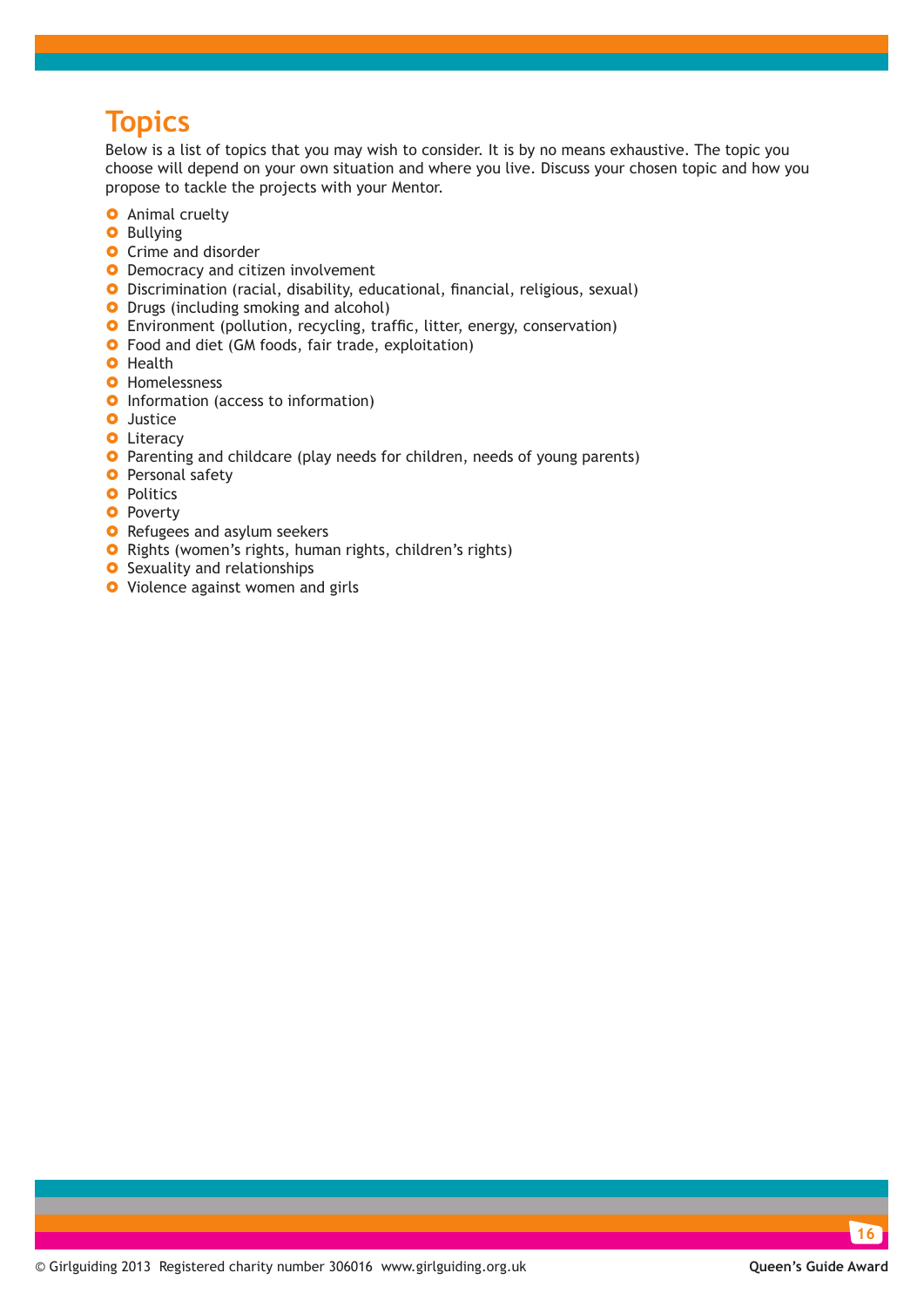### **Topics**

Below is a list of topics that you may wish to consider. It is by no means exhaustive. The topic you choose will depend on your own situation and where you live. Discuss your chosen topic and how you propose to tackle the projects with your Mentor.

- **O** Animal cruelty
- **O** Bullying
- **O** Crime and disorder
- **O** Democracy and citizen involvement
- **O** Discrimination (racial, disability, educational, financial, religious, sexual)
- **O** Drugs (including smoking and alcohol)
- **O** Environment (pollution, recycling, traffic, litter, energy, conservation)
- **O** Food and diet (GM foods, fair trade, exploitation)
- **O** Health
- **O** Homelessness
- **O** Information (access to information)
- **O** Justice
- **O** Literacy
- **O** Parenting and childcare (play needs for children, needs of young parents)
- **O** Personal safety
- **O** Politics
- **O** Poverty
- **O** Refugees and asylum seekers
- **O** Rights (women's rights, human rights, children's rights)
- **O** Sexuality and relationships
- **O** Violence against women and girls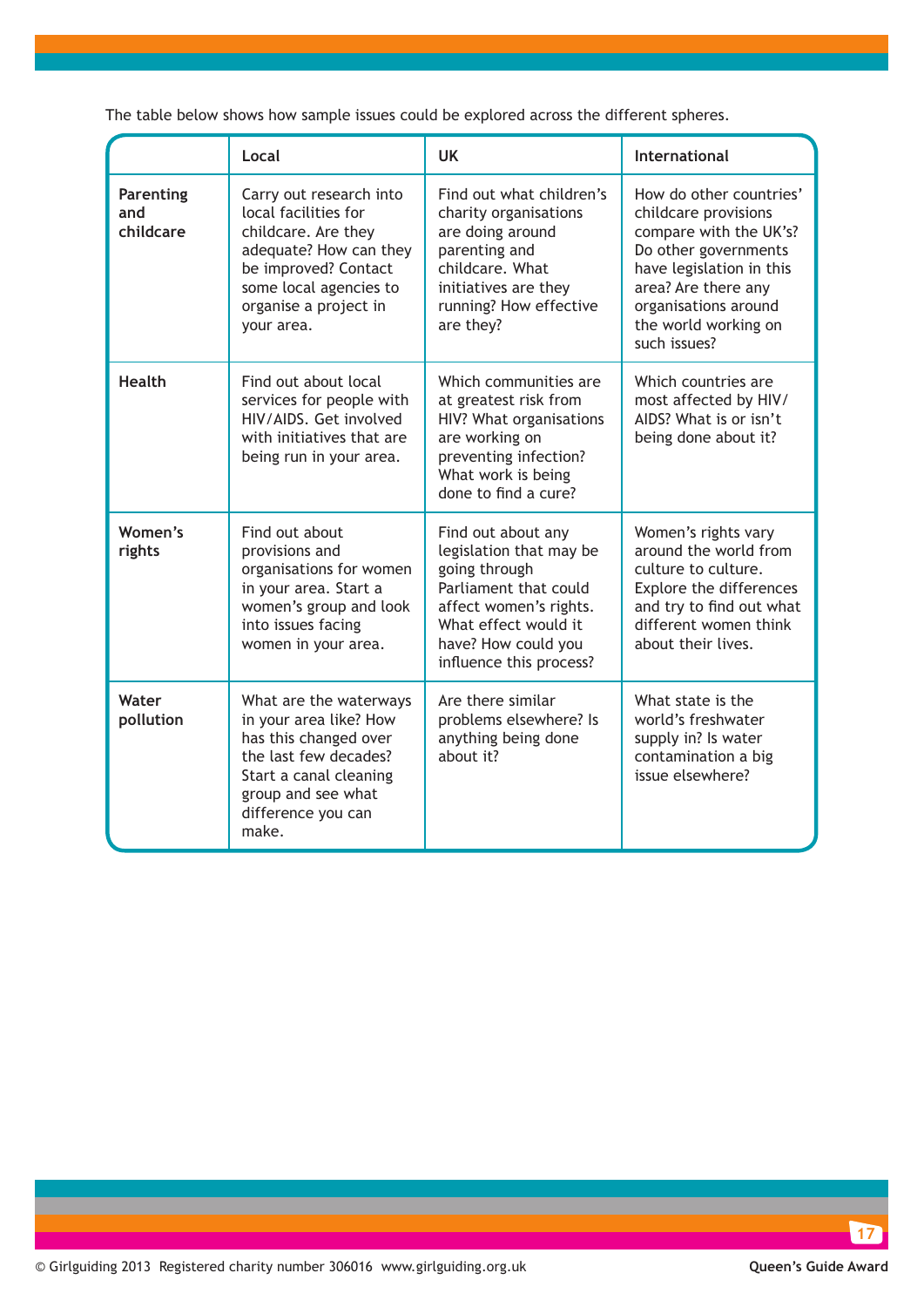|                                      | Local                                                                                                                                                                                     | UK                                                                                                                                                                                          | <b>International</b>                                                                                                                                                                                                 |
|--------------------------------------|-------------------------------------------------------------------------------------------------------------------------------------------------------------------------------------------|---------------------------------------------------------------------------------------------------------------------------------------------------------------------------------------------|----------------------------------------------------------------------------------------------------------------------------------------------------------------------------------------------------------------------|
| <b>Parenting</b><br>and<br>childcare | Carry out research into<br>local facilities for<br>childcare. Are they<br>adequate? How can they<br>be improved? Contact<br>some local agencies to<br>organise a project in<br>your area. | Find out what children's<br>charity organisations<br>are doing around<br>parenting and<br>childcare. What<br>initiatives are they<br>running? How effective<br>are they?                    | How do other countries'<br>childcare provisions<br>compare with the UK's?<br>Do other governments<br>have legislation in this<br>area? Are there any<br>organisations around<br>the world working on<br>such issues? |
| <b>Health</b>                        | Find out about local<br>services for people with<br>HIV/AIDS. Get involved<br>with initiatives that are<br>being run in your area.                                                        | Which communities are<br>at greatest risk from<br>HIV? What organisations<br>are working on<br>preventing infection?<br>What work is being<br>done to find a cure?                          | Which countries are<br>most affected by HIV/<br>AIDS? What is or isn't<br>being done about it?                                                                                                                       |
| Women's<br>rights                    | Find out about<br>provisions and<br>organisations for women<br>in your area. Start a<br>women's group and look<br>into issues facing<br>women in your area.                               | Find out about any<br>legislation that may be<br>going through<br>Parliament that could<br>affect women's rights.<br>What effect would it<br>have? How could you<br>influence this process? | Women's rights vary<br>around the world from<br>culture to culture.<br>Explore the differences<br>and try to find out what<br>different women think<br>about their lives.                                            |
| Water<br>pollution                   | What are the waterways<br>in your area like? How<br>has this changed over<br>the last few decades?<br>Start a canal cleaning<br>group and see what<br>difference you can<br>make.         | Are there similar<br>problems elsewhere? Is<br>anything being done<br>about it?                                                                                                             | What state is the<br>world's freshwater<br>supply in? Is water<br>contamination a big<br>issue elsewhere?                                                                                                            |

The table below shows how sample issues could be explored across the different spheres.